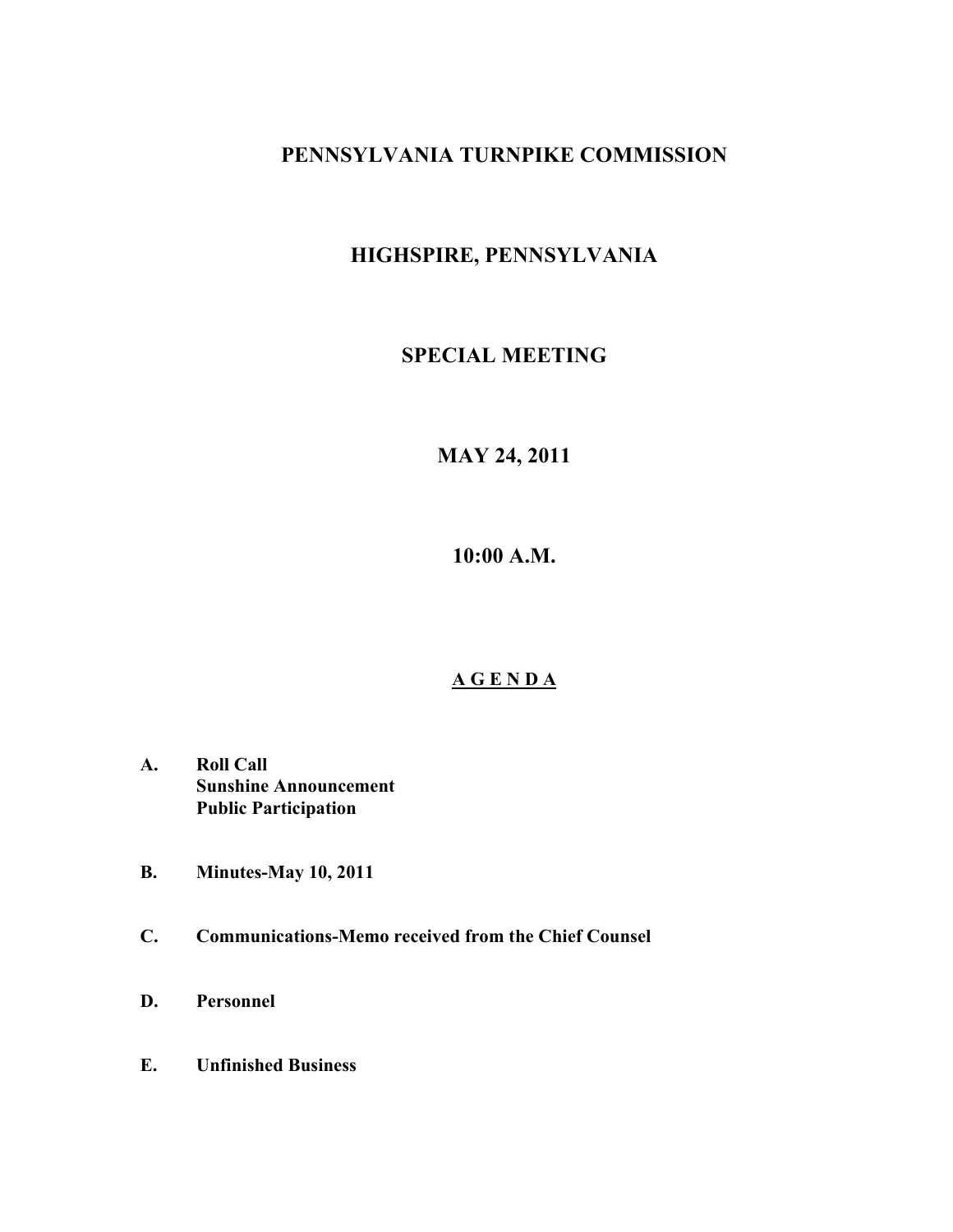## **PENNSYLVANIA TURNPIKE COMMISSION**

# **HIGHSPIRE, PENNSYLVANIA**

### **SPECIAL MEETING**

# **MAY 24, 2011**

**10:00 A.M.**

#### **A G E N D A**

- **A. Roll Call Sunshine Announcement Public Participation**
- **B. Minutes-May 10, 2011**
- **C. Communications-Memo received from the Chief Counsel**
- **D. Personnel**
- **E. Unfinished Business**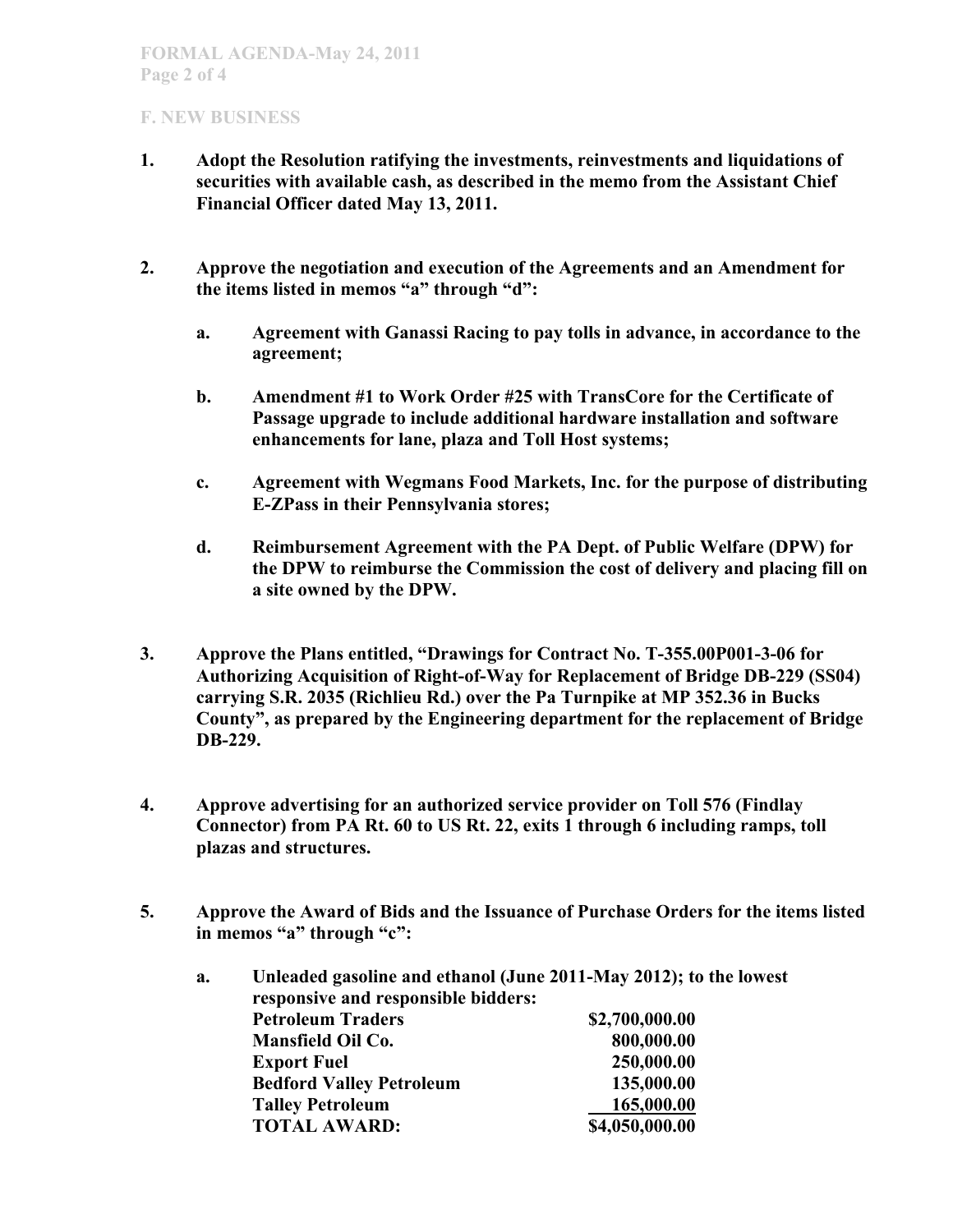#### **F. NEW BUSINESS**

- **1. Adopt the Resolution ratifying the investments, reinvestments and liquidations of securities with available cash, as described in the memo from the Assistant Chief Financial Officer dated May 13, 2011.**
- **2. Approve the negotiation and execution of the Agreements and an Amendment for the items listed in memos "a" through "d":**
	- **a. Agreement with Ganassi Racing to pay tolls in advance, in accordance to the agreement;**
	- **b. Amendment #1 to Work Order #25 with TransCore for the Certificate of Passage upgrade to include additional hardware installation and software enhancements for lane, plaza and Toll Host systems;**
	- **c. Agreement with Wegmans Food Markets, Inc. for the purpose of distributing E-ZPass in their Pennsylvania stores;**
	- **d. Reimbursement Agreement with the PA Dept. of Public Welfare (DPW) for the DPW to reimburse the Commission the cost of delivery and placing fill on a site owned by the DPW.**
- **3. Approve the Plans entitled, "Drawings for Contract No. T-355.00P001-3-06 for Authorizing Acquisition of Right-of-Way for Replacement of Bridge DB-229 (SS04) carrying S.R. 2035 (Richlieu Rd.) over the Pa Turnpike at MP 352.36 in Bucks County", as prepared by the Engineering department for the replacement of Bridge DB-229.**
- **4. Approve advertising for an authorized service provider on Toll 576 (Findlay Connector) from PA Rt. 60 to US Rt. 22, exits 1 through 6 including ramps, toll plazas and structures.**
- **5. Approve the Award of Bids and the Issuance of Purchase Orders for the items listed in memos "a" through "c":**

| a. | Unleaded gasoline and ethanol (June 2011-May 2012); to the lowest<br>responsive and responsible bidders: |                |
|----|----------------------------------------------------------------------------------------------------------|----------------|
|    | <b>Petroleum Traders</b>                                                                                 | \$2,700,000.00 |
|    | Mansfield Oil Co.                                                                                        | 800,000.00     |
|    | <b>Export Fuel</b>                                                                                       | 250,000.00     |
|    | <b>Bedford Valley Petroleum</b>                                                                          | 135,000.00     |
|    | <b>Talley Petroleum</b>                                                                                  | 165,000.00     |
|    | <b>TOTAL AWARD:</b>                                                                                      | \$4,050,000.00 |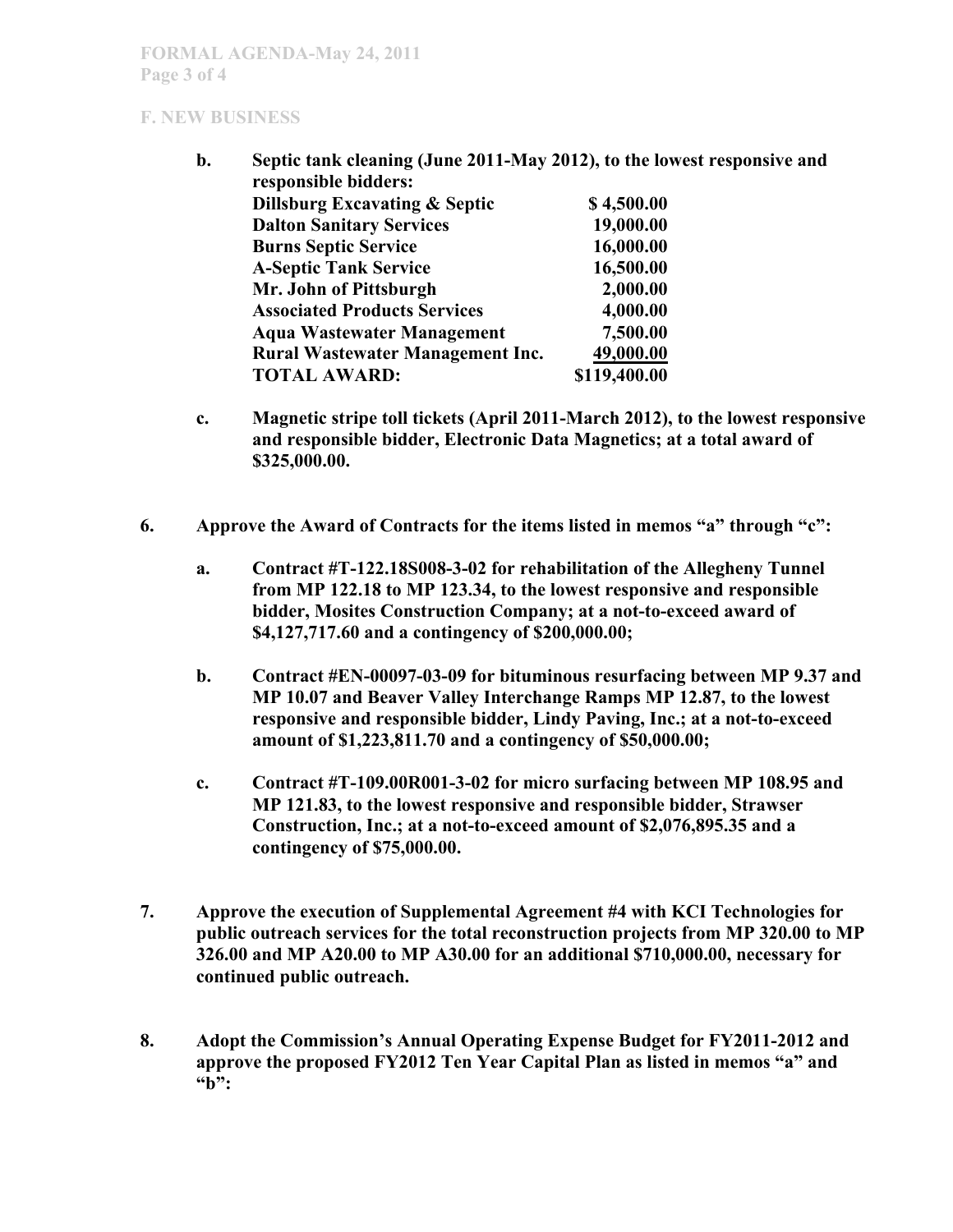#### **F. NEW BUSINESS**

- **b. Septic tank cleaning (June 2011-May 2012), to the lowest responsive and responsible bidders: Dillsburg Excavating & Septic \$ 4,500.00 Dalton Sanitary Services 19,000.00 Burns Septic Service** 16,000.00 **A-Septic Tank Service 16,500.00 Mr. John of Pittsburgh 2,000.00 Associated Products Services 4,000.00 Aqua Wastewater Management 7,500.00 Rural Wastewater Management Inc. 49,000.00 TOTAL AWARD: \$119,400.00**
- **c. Magnetic stripe toll tickets (April 2011-March 2012), to the lowest responsive and responsible bidder, Electronic Data Magnetics; at a total award of \$325,000.00.**
- **6. Approve the Award of Contracts for the items listed in memos "a" through "c":** 
	- **a. Contract #T-122.18S008-3-02 for rehabilitation of the Allegheny Tunnel from MP 122.18 to MP 123.34, to the lowest responsive and responsible bidder, Mosites Construction Company; at a not-to-exceed award of \$4,127,717.60 and a contingency of \$200,000.00;**
	- **b. Contract #EN-00097-03-09 for bituminous resurfacing between MP 9.37 and MP 10.07 and Beaver Valley Interchange Ramps MP 12.87, to the lowest responsive and responsible bidder, Lindy Paving, Inc.; at a not-to-exceed amount of \$1,223,811.70 and a contingency of \$50,000.00;**
	- **c. Contract #T-109.00R001-3-02 for micro surfacing between MP 108.95 and MP 121.83, to the lowest responsive and responsible bidder, Strawser Construction, Inc.; at a not-to-exceed amount of \$2,076,895.35 and a contingency of \$75,000.00.**
- **7. Approve the execution of Supplemental Agreement #4 with KCI Technologies for public outreach services for the total reconstruction projects from MP 320.00 to MP 326.00 and MP A20.00 to MP A30.00 for an additional \$710,000.00, necessary for continued public outreach.**
- **8. Adopt the Commission's Annual Operating Expense Budget for FY2011-2012 and approve the proposed FY2012 Ten Year Capital Plan as listed in memos "a" and "b":**